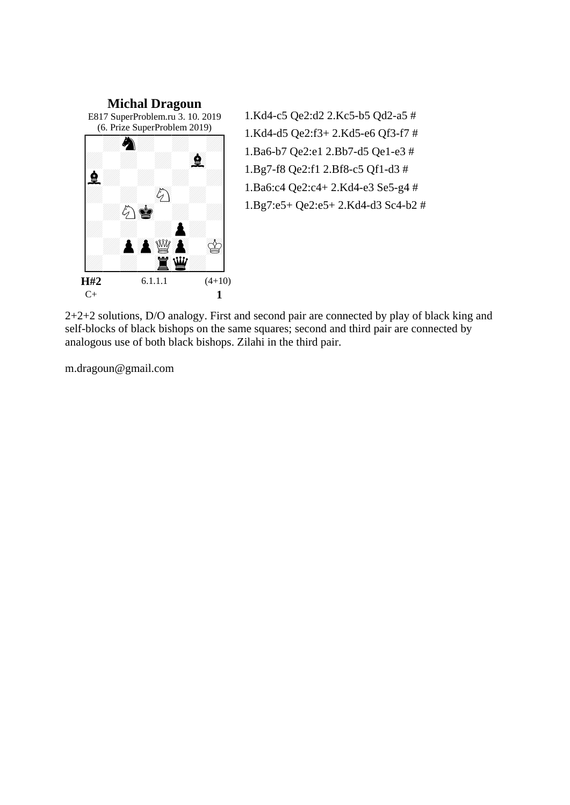

1.Kd4-c5 Qe2:d2 2.Kc5-b5 Qd2-a5 # 1.Kd4-d5 Qe2:f3+ 2.Kd5-e6 Qf3-f7 # 1.Ba6-b7 Qe2:e1 2.Bb7-d5 Qe1-e3 # 1.Bg7-f8 Qe2:f1 2.Bf8-c5 Qf1-d3 # 1.Ba6:c4 Qe2:c4+ 2.Kd4-e3 Se5-g4 # 1.Bg7:e5+ Qe2:e5+ 2.Kd4-d3 Sc4-b2 #

2+2+2 solutions, D/O analogy. First and second pair are connected by play of black king and self-blocks of black bishops on the same squares; second and third pair are connected by analogous use of both black bishops. Zilahi in the third pair.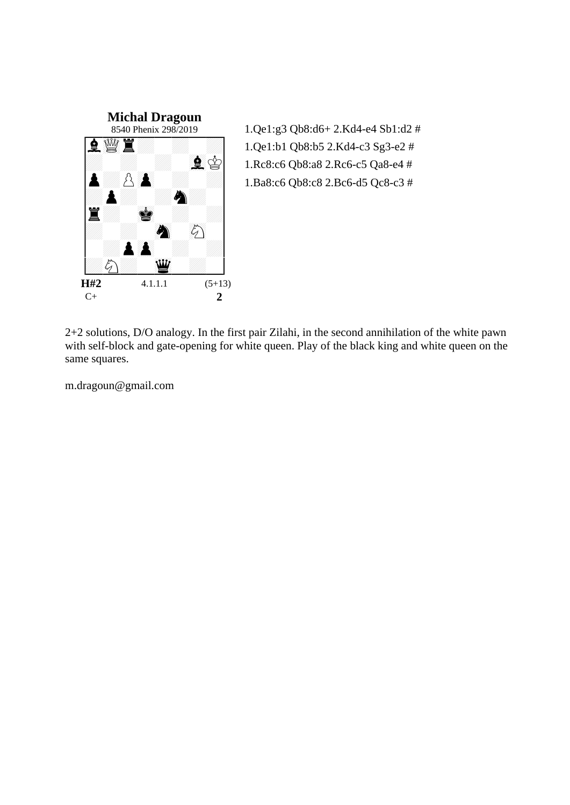

1.Qe1:g3 Qb8:d6+ 2.Kd4-e4 Sb1:d2 # 1.Qe1:b1 Qb8:b5 2.Kd4-c3 Sg3-e2 # 1.Rc8:c6 Qb8:a8 2.Rc6-c5 Qa8-e4 # 1.Ba8:c6 Qb8:c8 2.Bc6-d5 Qc8-c3 #

2+2 solutions, D/O analogy. In the first pair Zilahi, in the second annihilation of the white pawn with self-block and gate-opening for white queen. Play of the black king and white queen on the same squares.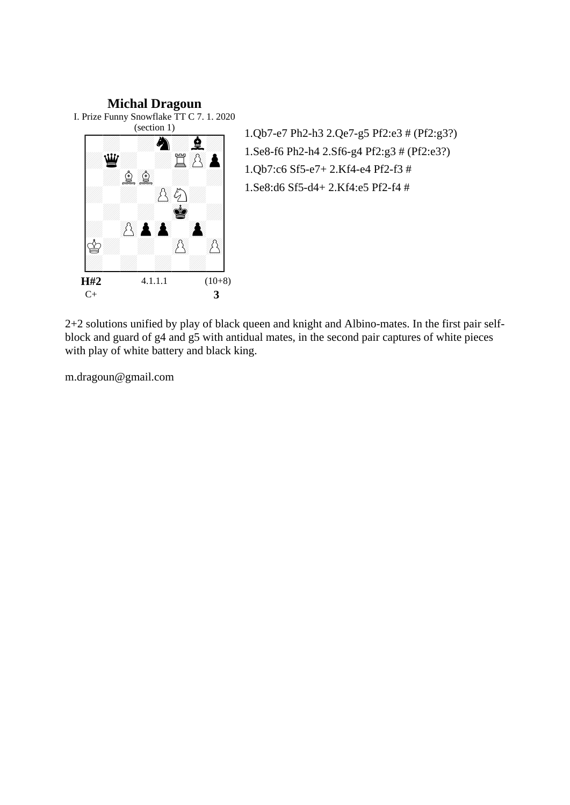## **Michal Dragoun** I. Prize Funny Snowflake TT C 7. 1. 2020 (section 1) ÏÏÏÏÏ\$ÏÏ'Ï %U WARDER A<br>Geboortes EQD<br>BAA **B**  $\blacktriangle$ 1 BAA<br>1 BAA  $\infty$  $\beta$

 $\begin{bmatrix} \mathcal{U} & \mathcal{U} & \mathcal{U} \end{bmatrix}$ **H#2** 4.1.1.1 (10+8) C+ **3** 

1.Qb7-e7 Ph2-h3 2.Qe7-g5 Pf2:e3 # (Pf2:g3?) 1.Se8-f6 Ph2-h4 2.Sf6-g4 Pf2:g3 # (Pf2:e3?) 1.Qb7:c6 Sf5-e7+ 2.Kf4-e4 Pf2-f3 # 1.Se8:d6 Sf5-d4+ 2.Kf4:e5 Pf2-f4 #

2+2 solutions unified by play of black queen and knight and Albino-mates. In the first pair selfblock and guard of g4 and g5 with antidual mates, in the second pair captures of white pieces with play of white battery and black king.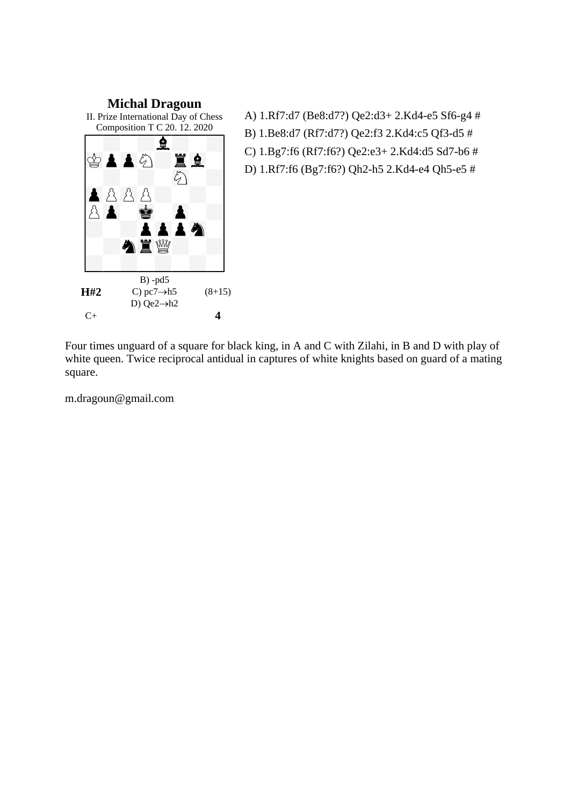

A) 1.Rf7:d7 (Be8:d7?) Qe2:d3+ 2.Kd4-e5 Sf6-g4 # B) 1.Be8:d7 (Rf7:d7?) Qe2:f3 2.Kd4:c5 Qf3-d5 # C) 1.Bg7:f6 (Rf7:f6?) Qe2:e3+ 2.Kd4:d5 Sd7-b6 # D) 1.Rf7:f6 (Bg7:f6?) Qh2-h5 2.Kd4-e4 Qh5-e5 #

**H#2** C+ **4**

Four times unguard of a square for black king, in A and C with Zilahi, in B and D with play of white queen. Twice reciprocal antidual in captures of white knights based on guard of a mating square.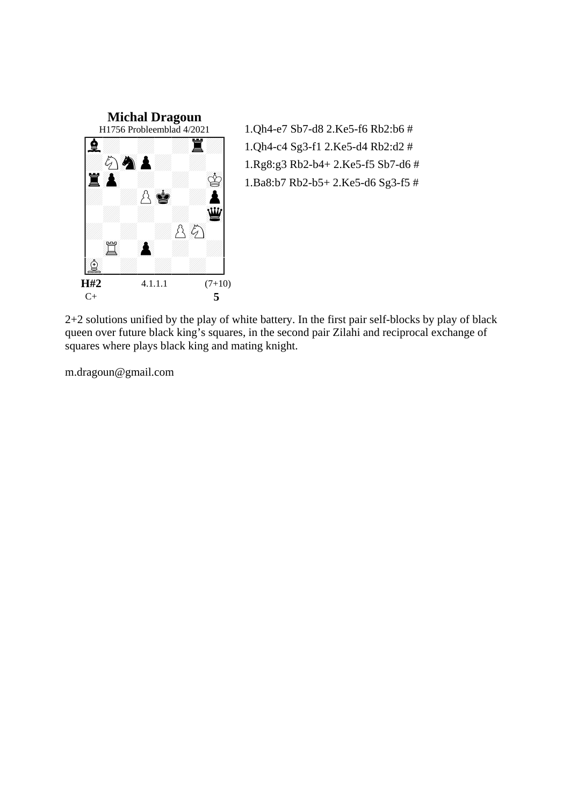

1.Qh4-e7 Sb7-d8 2.Ke5-f6 Rb2:b6 # 1.Qh4-c4 Sg3-f1 2.Ke5-d4 Rb2:d2 # 1.Rg8:g3 Rb2-b4+ 2.Ke5-f5 Sb7-d6 # 1.Ba8:b7 Rb2-b5+ 2.Ke5-d6 Sg3-f5 #

2+2 solutions unified by the play of white battery. In the first pair self-blocks by play of black queen over future black king's squares, in the second pair Zilahi and reciprocal exchange of squares where plays black king and mating knight.